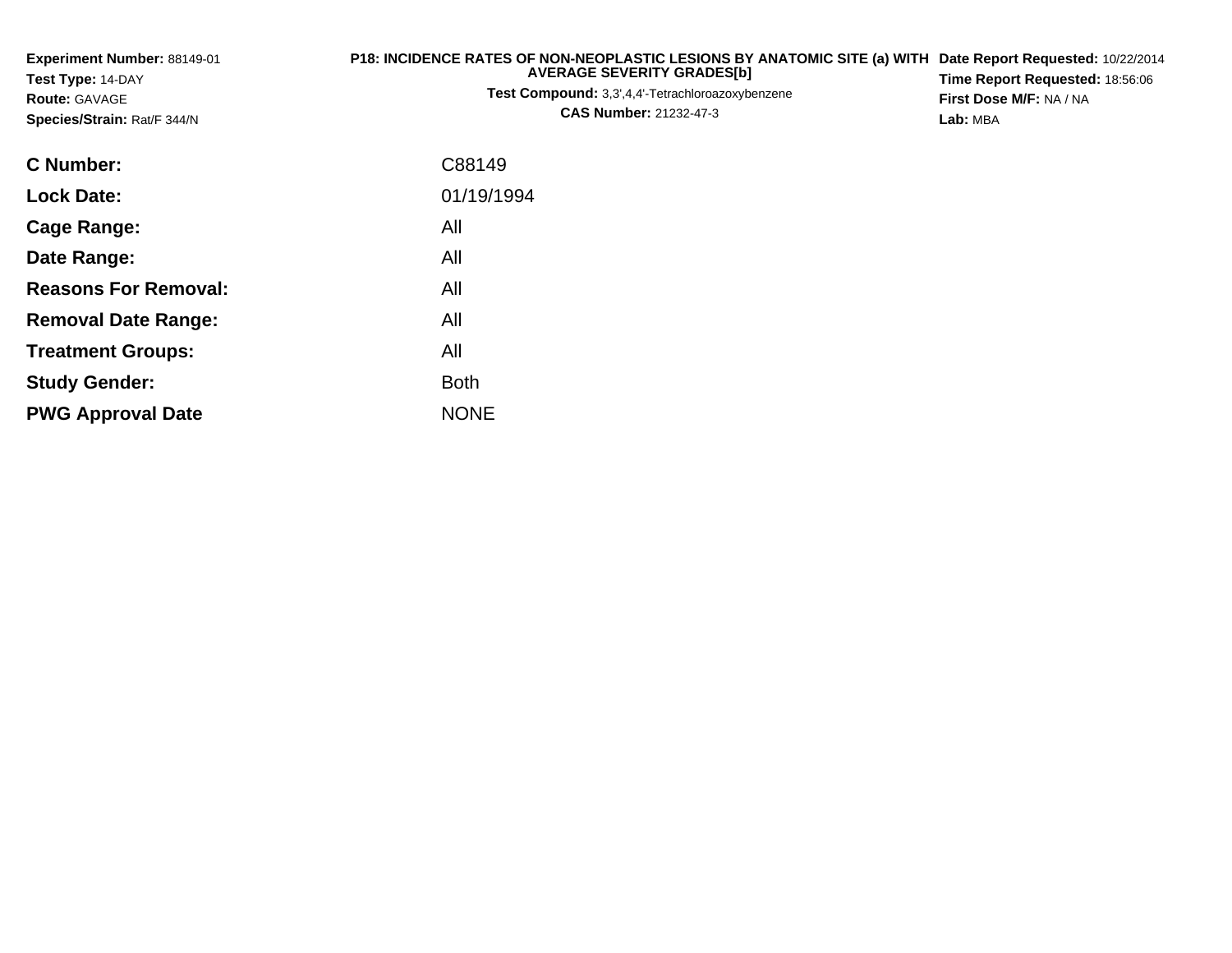| Experiment Number: 88149-01<br>Test Type: 14-DAY<br><b>Route: GAVAGE</b><br>Species/Strain: Rat/F 344/N | P18: INCIDENCE RATES OF NON-NEOPLASTIC LESIONS BY ANATOMIC SITE (a) WITH<br><b>AVERAGE SEVERITY GRADES[b]</b><br>Test Compound: 3,3',4,4'-Tetrachloroazoxybenzene<br><b>CAS Number: 21232-47-3</b> |  |  |  |
|---------------------------------------------------------------------------------------------------------|----------------------------------------------------------------------------------------------------------------------------------------------------------------------------------------------------|--|--|--|
| <b>C</b> Number:                                                                                        | C88149                                                                                                                                                                                             |  |  |  |
| <b>Lock Date:</b>                                                                                       | 01/19/1994                                                                                                                                                                                         |  |  |  |
| <b>Cage Range:</b>                                                                                      | All                                                                                                                                                                                                |  |  |  |
| Date Range:                                                                                             | All                                                                                                                                                                                                |  |  |  |
| <b>Reasons For Removal:</b>                                                                             | All                                                                                                                                                                                                |  |  |  |
| <b>Removal Date Range:</b>                                                                              | All                                                                                                                                                                                                |  |  |  |
| <b>Treatment Groups:</b>                                                                                | All                                                                                                                                                                                                |  |  |  |
| <b>Study Gender:</b>                                                                                    | <b>Both</b>                                                                                                                                                                                        |  |  |  |
| <b>PWG Approval Date</b>                                                                                | <b>NONE</b>                                                                                                                                                                                        |  |  |  |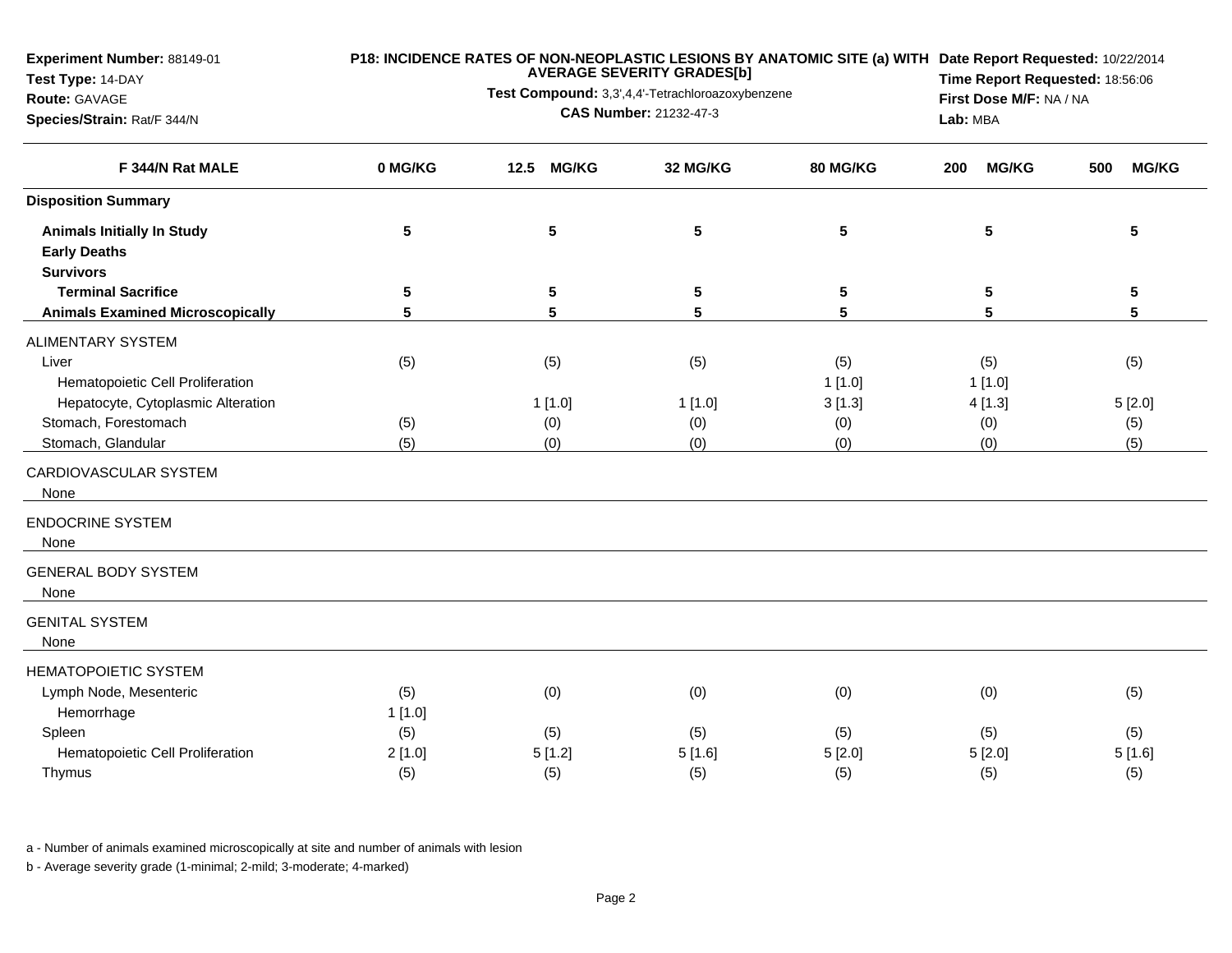**Experiment Number:** 88149-01

# **Test Type:** 14-DAY

### **Route:** GAVAGE

**Species/Strain:** Rat/F 344/N

## **P18: INCIDENCE RATES OF NON-NEOPLASTIC LESIONS BY ANATOMIC SITE (a) WITH AVERAGE SEVERITY GRADES[b] Date Report Requested:** 10/22/2014

**Test Compound:** 3,3',4,4'-Tetrachloroazoxybenzene

**CAS Number:** 21232-47-3

**Time Report Requested:** 18:56:06**First Dose M/F:** NA / NA**Lab:** MBA

| F 344/N Rat MALE                        | 0 MG/KG         | <b>MG/KG</b><br>12.5 | 32 MG/KG        | 80 MG/KG | <b>MG/KG</b><br>200 | <b>MG/KG</b><br>500 |
|-----------------------------------------|-----------------|----------------------|-----------------|----------|---------------------|---------------------|
| <b>Disposition Summary</b>              |                 |                      |                 |          |                     |                     |
| <b>Animals Initially In Study</b>       | ${\bf 5}$       | ${\bf 5}$            | ${\bf 5}$       | 5        | ${\bf 5}$           | ${\bf 5}$           |
| <b>Early Deaths</b>                     |                 |                      |                 |          |                     |                     |
| <b>Survivors</b>                        |                 |                      |                 |          |                     |                     |
| <b>Terminal Sacrifice</b>               | $5\phantom{.0}$ | 5                    | 5               | 5        | 5                   | 5                   |
| <b>Animals Examined Microscopically</b> | 5               | 5                    | $5\phantom{.0}$ | 5        | 5                   | 5                   |
| <b>ALIMENTARY SYSTEM</b>                |                 |                      |                 |          |                     |                     |
| Liver                                   | (5)             | (5)                  | (5)             | (5)      | (5)                 | (5)                 |
| Hematopoietic Cell Proliferation        |                 |                      |                 | 1[1.0]   | 1[1.0]              |                     |
| Hepatocyte, Cytoplasmic Alteration      |                 | 1[1.0]               | 1[1.0]          | 3[1.3]   | 4[1.3]              | 5[2.0]              |
| Stomach, Forestomach                    | (5)             | (0)                  | (0)             | (0)      | (0)                 | (5)                 |
| Stomach, Glandular                      | (5)             | (0)                  | (0)             | (0)      | (0)                 | (5)                 |
| CARDIOVASCULAR SYSTEM<br>None           |                 |                      |                 |          |                     |                     |
| <b>ENDOCRINE SYSTEM</b>                 |                 |                      |                 |          |                     |                     |
| None                                    |                 |                      |                 |          |                     |                     |
| <b>GENERAL BODY SYSTEM</b>              |                 |                      |                 |          |                     |                     |
| None                                    |                 |                      |                 |          |                     |                     |
| <b>GENITAL SYSTEM</b>                   |                 |                      |                 |          |                     |                     |
| None                                    |                 |                      |                 |          |                     |                     |
| <b>HEMATOPOIETIC SYSTEM</b>             |                 |                      |                 |          |                     |                     |
| Lymph Node, Mesenteric                  | (5)             | (0)                  | (0)             | (0)      | (0)                 | (5)                 |
| Hemorrhage                              | 1[1.0]          |                      |                 |          |                     |                     |
| Spleen                                  | (5)             | (5)                  | (5)             | (5)      | (5)                 | (5)                 |
| Hematopoietic Cell Proliferation        | 2[1.0]          | 5[1.2]               | 5[1.6]          | 5[2.0]   | 5[2.0]              | 5[1.6]              |
| Thymus                                  | (5)             | (5)                  | (5)             | (5)      | (5)                 | (5)                 |
|                                         |                 |                      |                 |          |                     |                     |

a - Number of animals examined microscopically at site and number of animals with lesion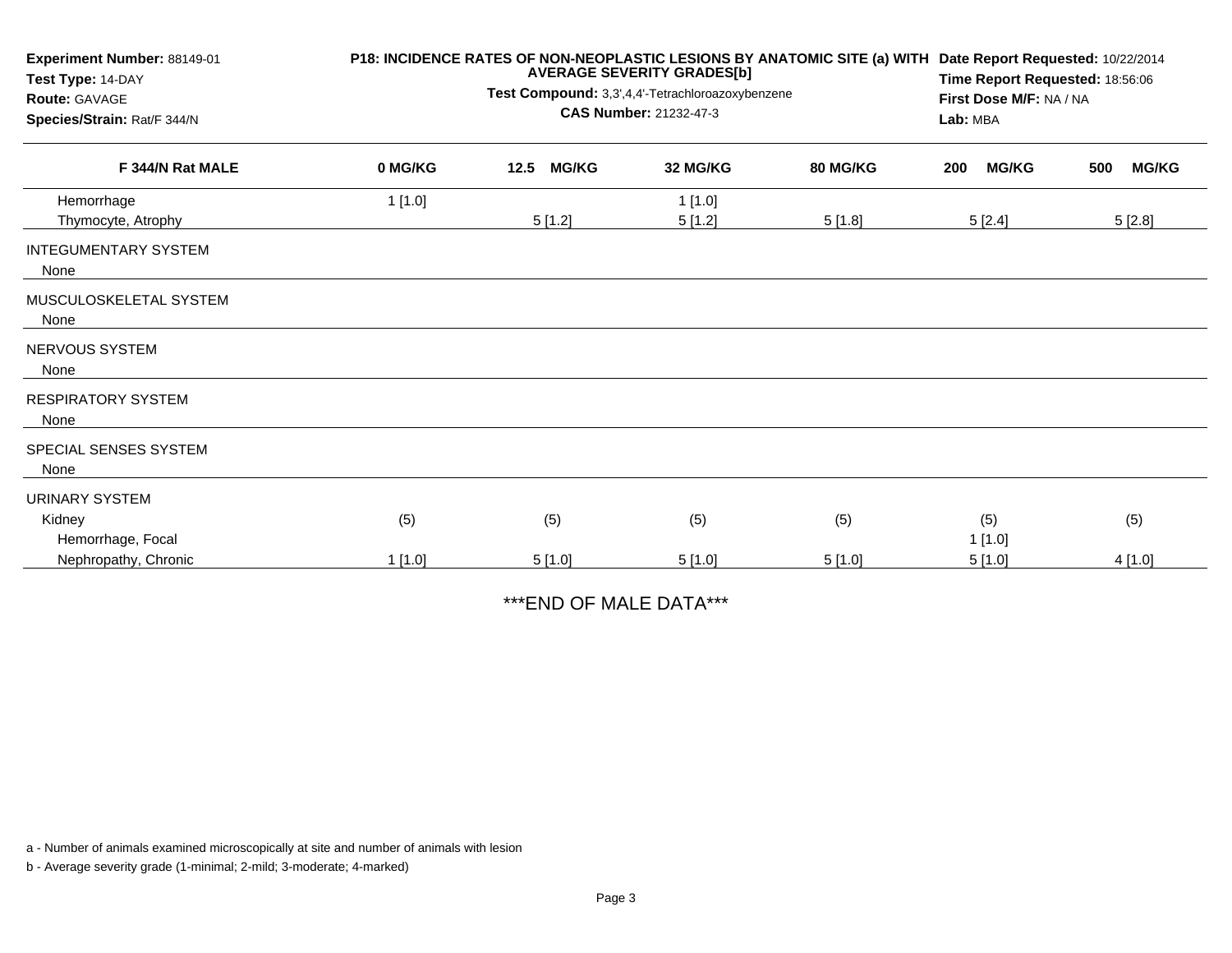| Experiment Number: 88149-01<br>Test Type: 14-DAY<br><b>Route: GAVAGE</b><br>Species/Strain: Rat/F 344/N | P18: INCIDENCE RATES OF NON-NEOPLASTIC LESIONS BY ANATOMIC SITE (a) WITH | Date Report Requested: 10/22/2014<br>Time Report Requested: 18:56:06<br>First Dose M/F: NA / NA<br>Lab: MBA |                  |                 |                     |                     |
|---------------------------------------------------------------------------------------------------------|--------------------------------------------------------------------------|-------------------------------------------------------------------------------------------------------------|------------------|-----------------|---------------------|---------------------|
| F 344/N Rat MALE                                                                                        | 0 MG/KG                                                                  | 12.5<br><b>MG/KG</b>                                                                                        | 32 MG/KG         | <b>80 MG/KG</b> | <b>MG/KG</b><br>200 | <b>MG/KG</b><br>500 |
| Hemorrhage<br>Thymocyte, Atrophy                                                                        | 1[1.0]                                                                   | 5[1.2]                                                                                                      | 1[1.0]<br>5[1.2] | 5[1.8]          | 5[2.4]              | 5[2.8]              |
| <b>INTEGUMENTARY SYSTEM</b><br>None                                                                     |                                                                          |                                                                                                             |                  |                 |                     |                     |
| MUSCULOSKELETAL SYSTEM<br>None                                                                          |                                                                          |                                                                                                             |                  |                 |                     |                     |
| <b>NERVOUS SYSTEM</b><br>None                                                                           |                                                                          |                                                                                                             |                  |                 |                     |                     |
| <b>RESPIRATORY SYSTEM</b><br>None                                                                       |                                                                          |                                                                                                             |                  |                 |                     |                     |
| SPECIAL SENSES SYSTEM<br>None                                                                           |                                                                          |                                                                                                             |                  |                 |                     |                     |
| <b>URINARY SYSTEM</b><br>Kidney                                                                         | (5)                                                                      | (5)                                                                                                         | (5)              | (5)             | (5)                 | (5)                 |
| Hemorrhage, Focal<br>Nephropathy, Chronic                                                               | 1[1.0]                                                                   | 5[1.0]                                                                                                      | 5[1.0]           | 5[1.0]          | 1[1.0]<br>5[1.0]    | 4[1.0]              |

\*\*\*END OF MALE DATA\*\*\*

a - Number of animals examined microscopically at site and number of animals with lesion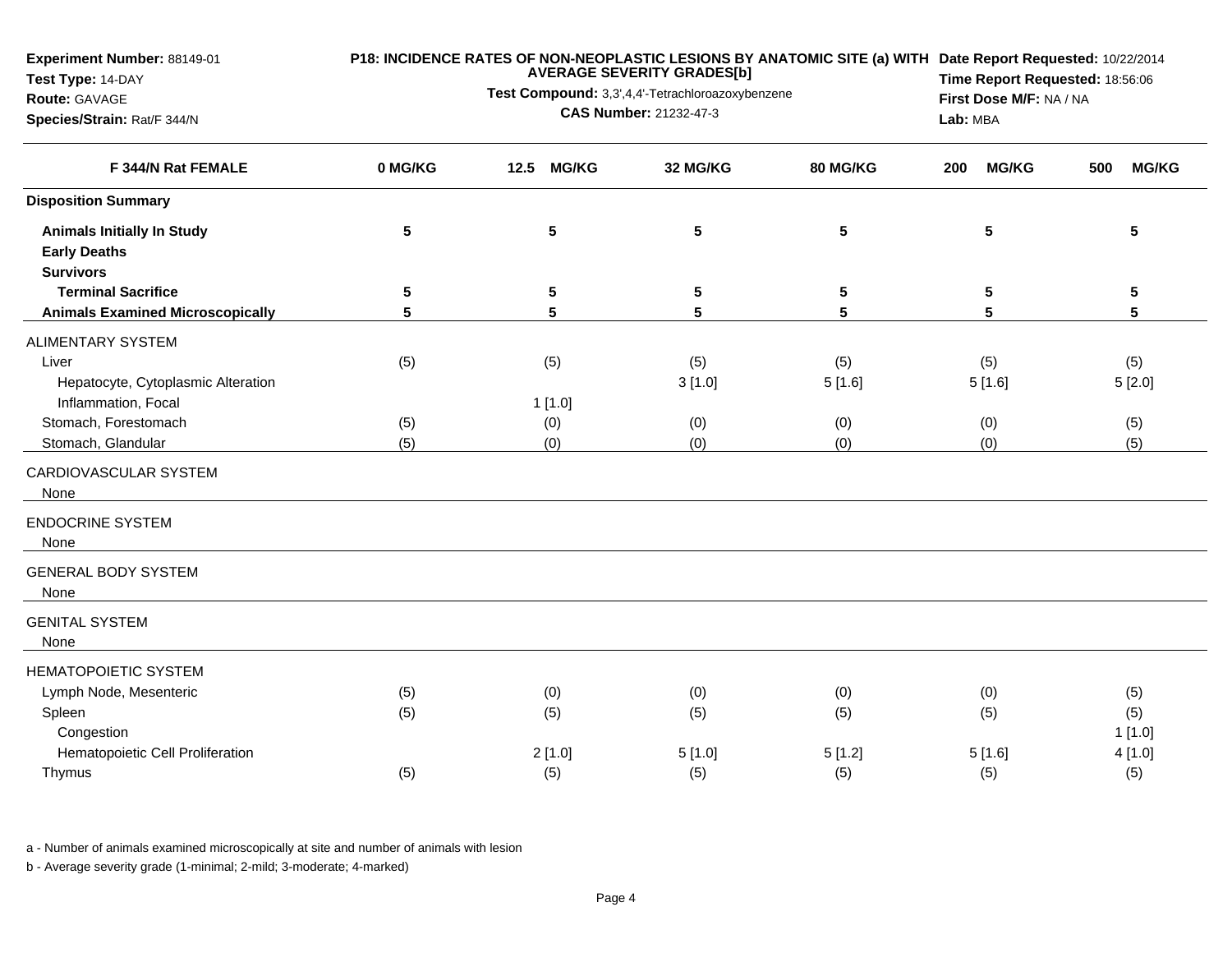**Experiment Number:** 88149-01

# **Test Type:** 14-DAY

### **Route:** GAVAGE

**Species/Strain:** Rat/F 344/N

## **P18: INCIDENCE RATES OF NON-NEOPLASTIC LESIONS BY ANATOMIC SITE (a) WITH AVERAGE SEVERITY GRADES[b] Date Report Requested:** 10/22/2014

**Test Compound:** 3,3',4,4'-Tetrachloroazoxybenzene

**CAS Number:** 21232-47-3

**Time Report Requested:** 18:56:06**First Dose M/F:** NA / NA**Lab:** MBA

| F 344/N Rat FEMALE                      | 0 MG/KG         | 12.5<br><b>MG/KG</b> | 32 MG/KG        | 80 MG/KG        | <b>MG/KG</b><br>200 | <b>MG/KG</b><br>500 |
|-----------------------------------------|-----------------|----------------------|-----------------|-----------------|---------------------|---------------------|
| <b>Disposition Summary</b>              |                 |                      |                 |                 |                     |                     |
| <b>Animals Initially In Study</b>       | $5\phantom{.0}$ | ${\bf 5}$            | ${\bf 5}$       | $5\phantom{.0}$ | 5                   | ${\bf 5}$           |
| <b>Early Deaths</b>                     |                 |                      |                 |                 |                     |                     |
| <b>Survivors</b>                        |                 |                      |                 |                 |                     |                     |
| <b>Terminal Sacrifice</b>               | $5\phantom{.0}$ | ${\bf 5}$            | $5\phantom{.0}$ | $5\phantom{.0}$ | 5                   | $\sqrt{5}$          |
| <b>Animals Examined Microscopically</b> | 5               | 5                    | 5               | 5               | 5                   | 5                   |
| <b>ALIMENTARY SYSTEM</b>                |                 |                      |                 |                 |                     |                     |
| Liver                                   | (5)             | (5)                  | (5)             | (5)             | (5)                 | (5)                 |
| Hepatocyte, Cytoplasmic Alteration      |                 |                      | 3[1.0]          | 5[1.6]          | 5[1.6]              | 5[2.0]              |
| Inflammation, Focal                     |                 | 1[1.0]               |                 |                 |                     |                     |
| Stomach, Forestomach                    | (5)             | (0)                  | (0)             | (0)             | (0)                 | (5)                 |
| Stomach, Glandular                      | (5)             | (0)                  | (0)             | (0)             | (0)                 | (5)                 |
| CARDIOVASCULAR SYSTEM<br>None           |                 |                      |                 |                 |                     |                     |
| <b>ENDOCRINE SYSTEM</b><br>None         |                 |                      |                 |                 |                     |                     |
| <b>GENERAL BODY SYSTEM</b>              |                 |                      |                 |                 |                     |                     |
| None                                    |                 |                      |                 |                 |                     |                     |
| <b>GENITAL SYSTEM</b><br>None           |                 |                      |                 |                 |                     |                     |
| <b>HEMATOPOIETIC SYSTEM</b>             |                 |                      |                 |                 |                     |                     |
| Lymph Node, Mesenteric                  | (5)             | (0)                  | (0)             | (0)             | (0)                 | (5)                 |
| Spleen                                  | (5)             | (5)                  | (5)             | (5)             | (5)                 | (5)                 |
| Congestion                              |                 |                      |                 |                 |                     | 1[1.0]              |
| Hematopoietic Cell Proliferation        |                 | 2[1.0]               | 5[1.0]          | 5[1.2]          | 5[1.6]              | 4[1.0]              |
| Thymus                                  | (5)             | (5)                  | (5)             | (5)             | (5)                 | (5)                 |
|                                         |                 |                      |                 |                 |                     |                     |

a - Number of animals examined microscopically at site and number of animals with lesion